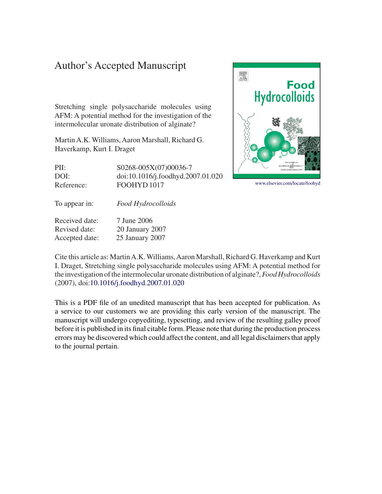# Author's Accepted Manuscript

Stretching single polysaccharide molecules using AFM: A potential method for the investigation of the intermolecular uronate distribution of alginate?

Martin A.K. Williams, Aaron Marshall, Richard G. Haverkamp, Kurt I. Draget

PII: S0268-005X(07)00036-7 DOI: doi:10.1016/j.foodhyd.2007.01.020 Reference: FOOHYD 1017

To appear in: *Food Hydrocolloids*

Received date: 7 June 2006 Revised date: 20 January 2007 Accepted date: 25 January 2007



This is a PDF file of an unedited manuscript that has been accepted for publication. As a service to our customers we are providing this early version of the manuscript. The manuscript will undergo copyediting, typesetting, and review of the resulting galley proof before it is published in its final citable form. Please note that during the production process errors may be discovered which could affect the content, and all legal disclaimers that apply to the journal pertain.



[www.elsevier.com/locate/foohyd](http://www.elsevier.com/locate/foohyd)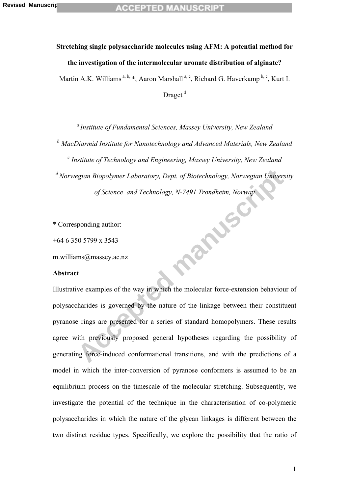# **Stretching single polysaccharide molecules using AFM: A potential method for the investigation of the intermolecular uronate distribution of alginate?**  Martin A.K. Williams<sup>a, b,</sup> \*, Aaron Marshall<sup>a, c</sup>, Richard G. Haverkamp<sup>b, c</sup>, Kurt I. Draget<sup>d</sup>

*a Institute of Fundamental Sciences, Massey University, New Zealand* 

<sup>*b*</sup> MacDiarmid Institute for Nanotechnology and Advanced Materials, New Zealand

**Accepted** manuscript *c Institute of Technology and Engineering, Massey University, New Zealand d Norwegian Biopolymer Laboratory, Dept. of Biotechnology, Norwegian University of Science and Technology, N-7491 Trondheim, Norway* 

\* Corresponding author:

+64 6 350 5799 x 3543

m.williams@massey.ac.nz

#### **Abstract**

Illustrative examples of the way in which the molecular force-extension behaviour of polysaccharides is governed by the nature of the linkage between their constituent pyranose rings are presented for a series of standard homopolymers. These results agree with previously proposed general hypotheses regarding the possibility of generating force-induced conformational transitions, and with the predictions of a model in which the inter-conversion of pyranose conformers is assumed to be an equilibrium process on the timescale of the molecular stretching. Subsequently, we investigate the potential of the technique in the characterisation of co-polymeric polysaccharides in which the nature of the glycan linkages is different between the two distinct residue types. Specifically, we explore the possibility that the ratio of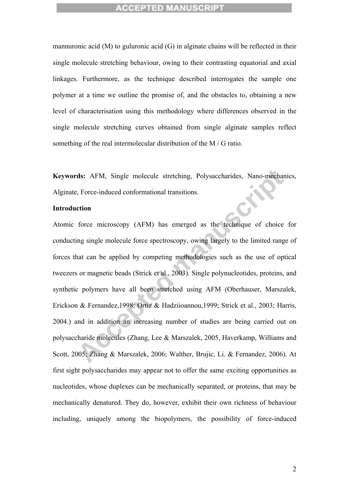mannuronic acid (M) to guluronic acid (G) in alginate chains will be reflected in their single molecule stretching behaviour, owing to their contrasting equatorial and axial linkages. Furthermore, as the technique described interrogates the sample one polymer at a time we outline the promise of, and the obstacles to, obtaining a new level of characterisation using this methodology where differences observed in the single molecule stretching curves obtained from single alginate samples reflect something of the real intermolecular distribution of the M / G ratio.

**Keywords:** AFM, Single molecule stretching, Polysaccharides, Nano-mechanics, Alginate, Force-induced conformational transitions.

#### **Introduction**

ds: AFM, Single molecule stretching, Polysaccharides, Nano-mechanic<br>
7. Force-induced conformational transitions.<br> **Accepted manuscript COM**<br> **Accepted manuscript COM**<br> **Accept manuscript COM**<br> **Accept manuscript COM**<br> **Ac** Atomic force microscopy (AFM) has emerged as the technique of choice for conducting single molecule force spectroscopy, owing largely to the limited range of forces that can be applied by competing methodologies such as the use of optical tweezers or magnetic beads (Strick et al., 2003). Single polynucleotides, proteins, and synthetic polymers have all been stretched using AFM (Oberhauser, Marszalek, Erickson & Fernandez,1998; Ortiz & Hadziioannou,1999; Strick et al., 2003; Harris, 2004.) and in addition an increasing number of studies are being carried out on polysaccharide molecules (Zhang, Lee & Marszalek, 2005, Haverkamp, Williams and Scott, 2005; Zhang & Marszalek, 2006; Walther, Brujic, Li. & Fernandez, 2006). At first sight polysaccharides may appear not to offer the same exciting opportunities as nucleotides, whose duplexes can be mechanically separated, or proteins, that may be mechanically denatured. They do, however, exhibit their own richness of behaviour including, uniquely among the biopolymers, the possibility of force-induced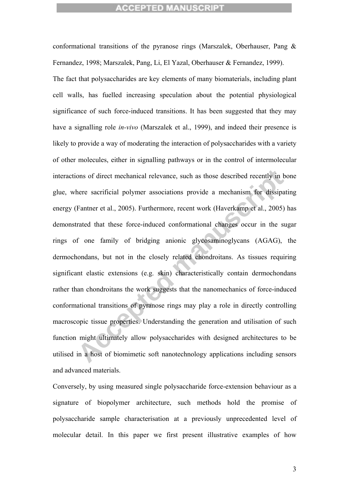ons of direct mechanical relevance, such as those described recently in both<br>there sacrificial polymer associations provide a mechanism for dissipatin<br>Fantner et al., 2005). Furthermore, recent work (Haverkamp et al., 2005 conformational transitions of the pyranose rings (Marszalek, Oberhauser, Pang & Fernandez, 1998; Marszalek, Pang, Li, El Yazal, Oberhauser & Fernandez, 1999). The fact that polysaccharides are key elements of many biomaterials, including plant cell walls, has fuelled increasing speculation about the potential physiological significance of such force-induced transitions. It has been suggested that they may have a signalling role *in-vivo* (Marszalek et al., 1999), and indeed their presence is likely to provide a way of moderating the interaction of polysaccharides with a variety of other molecules, either in signalling pathways or in the control of intermolecular interactions of direct mechanical relevance, such as those described recently in bone glue, where sacrificial polymer associations provide a mechanism for dissipating energy (Fantner et al., 2005). Furthermore, recent work (Haverkamp et al., 2005) has demonstrated that these force-induced conformational changes occur in the sugar rings of one family of bridging anionic glycosaminoglycans (AGAG), the dermochondans, but not in the closely related chondroitans. As tissues requiring significant elastic extensions (e.g. skin) characteristically contain dermochondans rather than chondroitans the work suggests that the nanomechanics of force-induced conformational transitions of pyranose rings may play a role in directly controlling macroscopic tissue properties. Understanding the generation and utilisation of such function might ultimately allow polysaccharides with designed architectures to be utilised in a host of biomimetic soft nanotechnology applications including sensors and advanced materials.

Conversely, by using measured single polysaccharide force-extension behaviour as a signature of biopolymer architecture, such methods hold the promise of polysaccharide sample characterisation at a previously unprecedented level of molecular detail. In this paper we first present illustrative examples of how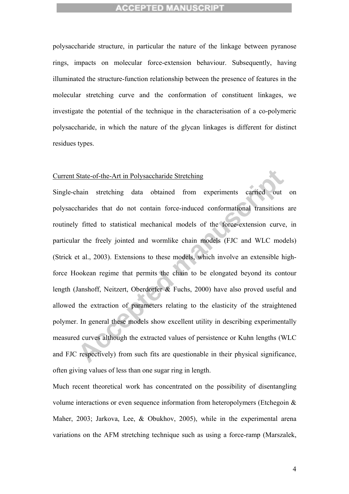polysaccharide structure, in particular the nature of the linkage between pyranose rings, impacts on molecular force-extension behaviour. Subsequently, having illuminated the structure-function relationship between the presence of features in the molecular stretching curve and the conformation of constituent linkages, we investigate the potential of the technique in the characterisation of a co-polymeric polysaccharide, in which the nature of the glycan linkages is different for distinct residues types.

#### Current State-of-the-Art in Polysaccharide Stretching

State-of-the-Art in Polysaccharide Stretching<br>hain stretching data obtained from experiments carried out of<br>charides that do not contain force-induced conformational transitions are<br>fitted to statistical mechanical models Single-chain stretching data obtained from experiments carried out on polysaccharides that do not contain force-induced conformational transitions are routinely fitted to statistical mechanical models of the force-extension curve, in particular the freely jointed and wormlike chain models (FJC and WLC models) (Strick et al., 2003). Extensions to these models, which involve an extensible highforce Hookean regime that permits the chain to be elongated beyond its contour length (Janshoff, Neitzert, Oberdorfer & Fuchs, 2000) have also proved useful and allowed the extraction of parameters relating to the elasticity of the straightened polymer. In general these models show excellent utility in describing experimentally measured curves although the extracted values of persistence or Kuhn lengths (WLC and FJC respectively) from such fits are questionable in their physical significance, often giving values of less than one sugar ring in length.

Much recent theoretical work has concentrated on the possibility of disentangling volume interactions or even sequence information from heteropolymers (Etchegoin & Maher, 2003; Jarkova, Lee, & Obukhov, 2005), while in the experimental arena variations on the AFM stretching technique such as using a force-ramp (Marszalek,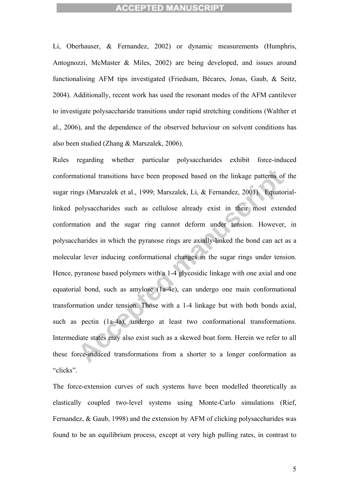Li, Oberhauser, & Fernandez, 2002) or dynamic measurements (Humphris, Antognozzi, McMaster & Miles, 2002) are being developed, and issues around functionalising AFM tips investigated (Friedsam, Bécares, Jonas, Gaub, & Seitz, 2004). Additionally, recent work has used the resonant modes of the AFM cantilever to investigate polysaccharide transitions under rapid stretching conditions (Walther et al., 2006), and the dependence of the observed behaviour on solvent conditions has also been studied (Zhang & Marszalek, 2006).

ational transitions have been proposed based on the linkage patterns of th<br>ngs (Marszalek et al., 1999; Marszalek, Li, & Fernandez, 2001). Equatoria<br>polysaccharides such as cellulose already exist in their most extende<br>ati Rules regarding whether particular polysaccharides exhibit force-induced conformational transitions have been proposed based on the linkage patterns of the sugar rings (Marszalek et al., 1999; Marszalek, Li, & Fernandez, 2001). Equatoriallinked polysaccharides such as cellulose already exist in their most extended conformation and the sugar ring cannot deform under tension. However, in polysaccharides in which the pyranose rings are axially-linked the bond can act as a molecular lever inducing conformational changes in the sugar rings under tension. Hence, pyranose based polymers with a 1-4 glycosidic linkage with one axial and one equatorial bond, such as amylose (1a-4e), can undergo one main conformational transformation under tension. Those with a 1-4 linkage but with both bonds axial, such as pectin (1a-4a), undergo at least two conformational transformations. Intermediate states may also exist such as a skewed boat form. Herein we refer to all these force-induced transformations from a shorter to a longer conformation as "clicks".

The force-extension curves of such systems have been modelled theoretically as elastically coupled two-level systems using Monte-Carlo simulations (Rief, Fernandez, & Gaub, 1998) and the extension by AFM of clicking polysaccharides was found to be an equilibrium process, except at very high pulling rates, in contrast to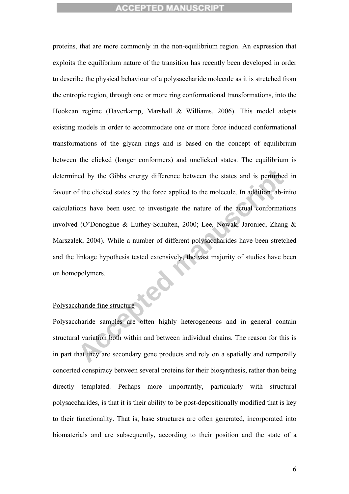have by the Gibbs energy difference between the states and is perturbed if the clicked states by the force applied to the molecule. In addition, ab-initions have been used to investigate the nature of the actual conformati proteins, that are more commonly in the non-equilibrium region. An expression that exploits the equilibrium nature of the transition has recently been developed in order to describe the physical behaviour of a polysaccharide molecule as it is stretched from the entropic region, through one or more ring conformational transformations, into the Hookean regime (Haverkamp, Marshall & Williams, 2006). This model adapts existing models in order to accommodate one or more force induced conformational transformations of the glycan rings and is based on the concept of equilibrium between the clicked (longer conformers) and unclicked states. The equilibrium is determined by the Gibbs energy difference between the states and is perturbed in favour of the clicked states by the force applied to the molecule. In addition, ab-inito calculations have been used to investigate the nature of the actual conformations involved (O'Donoghue & Luthey-Schulten, 2000; Lee, Nowak, Jaroniec, Zhang & Marszalek, 2004). While a number of different polysaccharides have been stretched and the linkage hypothesis tested extensively, the vast majority of studies have been on homopolymers.

#### Polysaccharide fine structure

Polysaccharide samples are often highly heterogeneous and in general contain structural variation both within and between individual chains. The reason for this is in part that they are secondary gene products and rely on a spatially and temporally concerted conspiracy between several proteins for their biosynthesis, rather than being directly templated. Perhaps more importantly, particularly with structural polysaccharides, is that it is their ability to be post-depositionally modified that is key to their functionality. That is; base structures are often generated, incorporated into biomaterials and are subsequently, according to their position and the state of a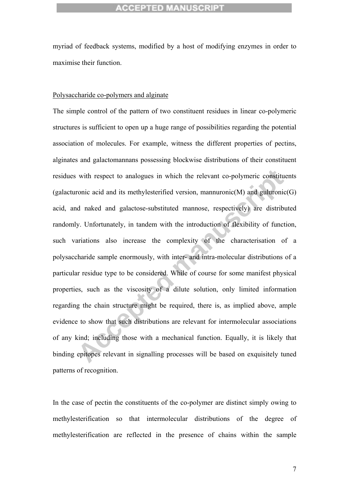myriad of feedback systems, modified by a host of modifying enzymes in order to maximise their function.

#### Polysaccharide co-polymers and alginate

with respect to analogues in which the relevant co-polymeric constituen<br>ronic acid and its methylesterified version, mannuronic(M) and guluronic(C<br>d naked and galactose-substituted mannose, respectively) are distribute<br>y. The simple control of the pattern of two constituent residues in linear co-polymeric structures is sufficient to open up a huge range of possibilities regarding the potential association of molecules. For example, witness the different properties of pectins, alginates and galactomannans possessing blockwise distributions of their constituent residues with respect to analogues in which the relevant co-polymeric constituents (galacturonic acid and its methylesterified version, mannuronic(M) and guluronic(G) acid, and naked and galactose-substituted mannose, respectively) are distributed randomly. Unfortunately, in tandem with the introduction of flexibility of function, such variations also increase the complexity of the characterisation of a polysaccharide sample enormously, with inter- and intra-molecular distributions of a particular residue type to be considered. While of course for some manifest physical properties, such as the viscosity of a dilute solution, only limited information regarding the chain structure might be required, there is, as implied above, ample evidence to show that such distributions are relevant for intermolecular associations of any kind; including those with a mechanical function. Equally, it is likely that binding epitopes relevant in signalling processes will be based on exquisitely tuned patterns of recognition.

In the case of pectin the constituents of the co-polymer are distinct simply owing to methylesterification so that intermolecular distributions of the degree of methylesterification are reflected in the presence of chains within the sample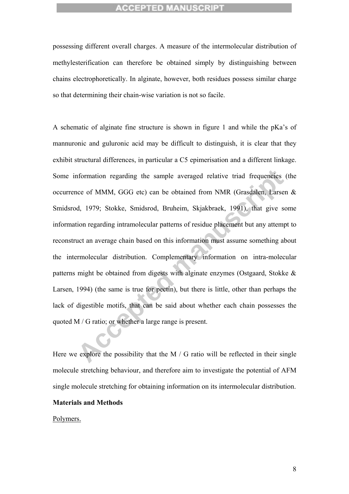possessing different overall charges. A measure of the intermolecular distribution of methylesterification can therefore be obtained simply by distinguishing between chains electrophoretically. In alginate, however, both residues possess similar charge so that determining their chain-wise variation is not so facile.

nformation regarding the sample averaged relative triad frequencies (theore of MMM, GGG etc) can be obtained from NMR (Grasdalen, Larsen ed, 1979; Stokke, Smidsrod, Bruheim, Skjakbrack, 1991), that give some regarding intr A schematic of alginate fine structure is shown in figure 1 and while the pKa's of mannuronic and guluronic acid may be difficult to distinguish, it is clear that they exhibit structural differences, in particular a C5 epimerisation and a different linkage. Some information regarding the sample averaged relative triad frequencies (the occurrence of MMM, GGG etc) can be obtained from NMR (Grasdalen, Larsen & Smidsrod, 1979; Stokke, Smidsrod, Bruheim, Skjakbraek, 1991), that give some information regarding intramolecular patterns of residue placement but any attempt to reconstruct an average chain based on this information must assume something about the intermolecular distribution. Complementary information on intra-molecular patterns might be obtained from digests with alginate enzymes (Ostgaard, Stokke & Larsen, 1994) (the same is true for pectin), but there is little, other than perhaps the lack of digestible motifs, that can be said about whether each chain possesses the quoted M / G ratio; or whether a large range is present.

Here we explore the possibility that the M  $\prime$  G ratio will be reflected in their single molecule stretching behaviour, and therefore aim to investigate the potential of AFM single molecule stretching for obtaining information on its intermolecular distribution.

#### **Materials and Methods**

Polymers.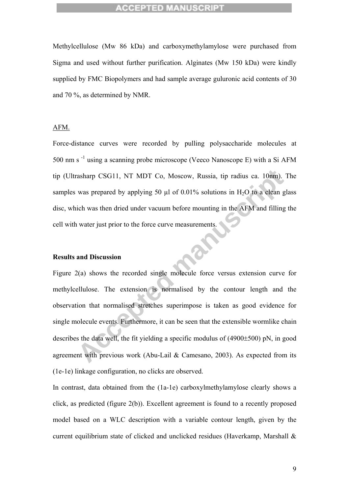Methylcellulose (Mw 86 kDa) and carboxymethylamylose were purchased from Sigma and used without further purification. Alginates (Mw 150 kDa) were kindly supplied by FMC Biopolymers and had sample average guluronic acid contents of 30 and 70 %, as determined by NMR.

#### AFM.

Force-distance curves were recorded by pulling polysaccharide molecules at 500 nm s $^{-1}$  using a scanning probe microscope (Veeco Nanoscope E) with a Si AFM tip (Ultrasharp CSG11, NT MDT Co, Moscow, Russia, tip radius ca. 10nm). The samples was prepared by applying 50  $\mu$ l of 0.01% solutions in H<sub>2</sub>O to a clean glass disc, which was then dried under vacuum before mounting in the AFM and filling the cell with water just prior to the force curve measurements.

#### **Results and Discussion**

asharp CSG11, NT MDT Co, Moscow, Russia, tip radius ca. 10nm). The<br>was prepared by applying 50  $\mu$ l of 0.01% solutions in H<sub>2</sub>O to a elean glas<br>ich was then dried under vacuum before mounting in the AFM and filling th<br>wa Figure 2(a) shows the recorded single molecule force versus extension curve for methylcellulose. The extension is normalised by the contour length and the observation that normalised stretches superimpose is taken as good evidence for single molecule events. Furthermore, it can be seen that the extensible wormlike chain describes the data well, the fit yielding a specific modulus of (4900±500) pN, in good agreement with previous work (Abu-Lail & Camesano, 2003). As expected from its (1e-1e) linkage configuration, no clicks are observed.

In contrast, data obtained from the (1a-1e) carboxylmethylamylose clearly shows a click, as predicted (figure 2(b)). Excellent agreement is found to a recently proposed model based on a WLC description with a variable contour length, given by the current equilibrium state of clicked and unclicked residues (Haverkamp, Marshall &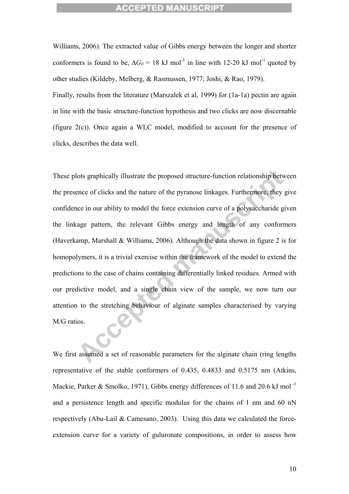Williams, 2006). The extracted value of Gibbs energy between the longer and shorter conformers is found to be,  $\Delta G_0 = 18 \text{ kJ} \text{ mol}^{-1}$  in line with 12-20 kJ mol<sup>-1</sup> quoted by other studies (Kildeby, Melberg, & Rasmussen, 1977; Joshi, & Rao, 1979).

Finally, results from the literature (Marszalek et al, 1999) for (1a-1a) pectin are again in line with the basic structure-function hypothesis and two clicks are now discernable (figure 2(c)). Once again a WLC model, modified to account for the presence of clicks, describes the data well.

lots graphically illustrate the proposed structure-function relationship betwee<br>there of clicks and the nature of the pyranose linkages. Furthermore, they give<br>the more of clicks and the nature of the pyranose linkages. Fu These plots graphically illustrate the proposed structure-function relationship between the presence of clicks and the nature of the pyranose linkages. Furthermore, they give confidence in our ability to model the force extension curve of a polysaccharide given the linkage pattern, the relevant Gibbs energy and length of any conformers (Haverkamp, Marshall & Williams, 2006). Although the data shown in figure 2 is for homopolymers, it is a trivial exercise within the framework of the model to extend the predictions to the case of chains containing differentially linked residues. Armed with our predictive model, and a single chain view of the sample, we now turn our attention to the stretching behaviour of alginate samples characterised by varying M/G ratios.

We first assumed a set of reasonable parameters for the alginate chain (ring lengths representative of the stable conformers of 0.435, 0.4833 and 0.5175 nm (Atkins, Mackie, Parker & Smolko, 1971), Gibbs energy differences of 11.6 and 20.6 kJ mol<sup>-1</sup> and a persistence length and specific modulus for the chains of 1 nm and 60 nN respectively (Abu-Lail & Camesano, 2003). Using this data we calculated the forceextension curve for a variety of guluronate compositions, in order to assess how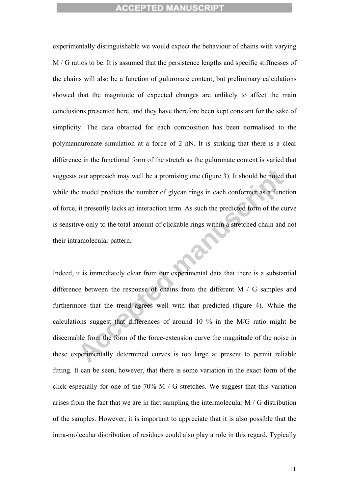experimentally distinguishable we would expect the behaviour of chains with varying M / G ratios to be. It is assumed that the persistence lengths and specific stiffnesses of the chains will also be a function of guluronate content, but preliminary calculations showed that the magnitude of expected changes are unlikely to affect the main conclusions presented here, and they have therefore been kept constant for the sake of simplicity. The data obtained for each composition has been normalised to the polymannuronate simulation at a force of 2 nN. It is striking that there is a clear difference in the functional form of the stretch as the guluronate content is varied that suggests our approach may well be a promising one (figure 3). It should be noted that while the model predicts the number of glycan rings in each conformer as a function of force, it presently lacks an interaction term. As such the predicted form of the curve is sensitive only to the total amount of clickable rings within a stretched chain and not their intramolecular pattern.

our approach may well be a promising one (figure 3). It should be noted the model predicts the number of glycan rings in each conformer as a function it presently lacks an interaction term. As such the predicted form of t Indeed, it is immediately clear from our experimental data that there is a substantial difference between the response of chains from the different M / G samples and furthermore that the trend agrees well with that predicted (figure 4). While the calculations suggest that differences of around 10 % in the M/G ratio might be discernable from the form of the force-extension curve the magnitude of the noise in these experimentally determined curves is too large at present to permit reliable fitting. It can be seen, however, that there is some variation in the exact form of the click especially for one of the 70% M / G stretches. We suggest that this variation arises from the fact that we are in fact sampling the intermolecular M / G distribution of the samples. However, it is important to appreciate that it is also possible that the intra-molecular distribution of residues could also play a role in this regard. Typically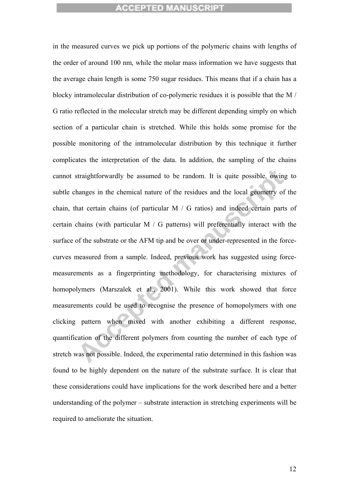straightforwardly be assumed to be random. It is quite possible, owing thanges in the chemical nature of the residues and the local geometry of the nat certain chains (of particular M / G ratios) and indeed certain parts o in the measured curves we pick up portions of the polymeric chains with lengths of the order of around 100 nm, while the molar mass information we have suggests that the average chain length is some 750 sugar residues. This means that if a chain has a blocky intramolecular distribution of co-polymeric residues it is possible that the M / G ratio reflected in the molecular stretch may be different depending simply on which section of a particular chain is stretched. While this holds some promise for the possible monitoring of the intramolecular distribution by this technique it further complicates the interpretation of the data. In addition, the sampling of the chains cannot straightforwardly be assumed to be random. It is quite possible, owing to subtle changes in the chemical nature of the residues and the local geometry of the chain, that certain chains (of particular M / G ratios) and indeed certain parts of certain chains (with particular M / G patterns) will preferentially interact with the surface of the substrate or the AFM tip and be over or under-represented in the forcecurves measured from a sample. Indeed, previous work has suggested using forcemeasurements as a fingerprinting methodology, for characterising mixtures of homopolymers (Marszalek et al., 2001). While this work showed that force measurements could be used to recognise the presence of homopolymers with one clicking pattern when mixed with another exhibiting a different response, quantification of the different polymers from counting the number of each type of stretch was not possible. Indeed, the experimental ratio determined in this fashion was found to be highly dependent on the nature of the substrate surface. It is clear that these considerations could have implications for the work described here and a better understanding of the polymer – substrate interaction in stretching experiments will be required to ameliorate the situation.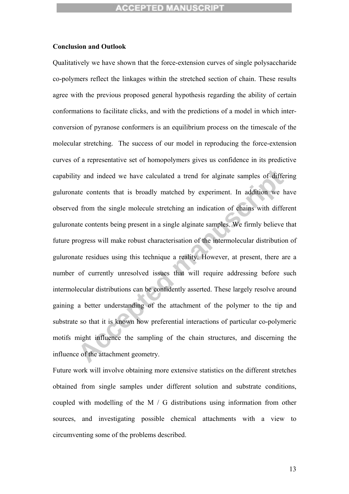#### **Conclusion and Outlook**

It is the contents that is broadly matched a trend for alginate samples of differint<br>the contents that is broadly matched by experiment. In addition we have<br>all from the single molecule stretching an indication of chains w Qualitatively we have shown that the force-extension curves of single polysaccharide co-polymers reflect the linkages within the stretched section of chain. These results agree with the previous proposed general hypothesis regarding the ability of certain conformations to facilitate clicks, and with the predictions of a model in which interconversion of pyranose conformers is an equilibrium process on the timescale of the molecular stretching. The success of our model in reproducing the force-extension curves of a representative set of homopolymers gives us confidence in its predictive capability and indeed we have calculated a trend for alginate samples of differing guluronate contents that is broadly matched by experiment. In addition we have observed from the single molecule stretching an indication of chains with different guluronate contents being present in a single alginate samples. We firmly believe that future progress will make robust characterisation of the intermolecular distribution of guluronate residues using this technique a reality. However, at present, there are a number of currently unresolved issues that will require addressing before such intermolecular distributions can be confidently asserted. These largely resolve around gaining a better understanding of the attachment of the polymer to the tip and substrate so that it is known how preferential interactions of particular co-polymeric motifs might influence the sampling of the chain structures, and discerning the influence of the attachment geometry.

Future work will involve obtaining more extensive statistics on the different stretches obtained from single samples under different solution and substrate conditions, coupled with modelling of the M / G distributions using information from other sources, and investigating possible chemical attachments with a view to circumventing some of the problems described.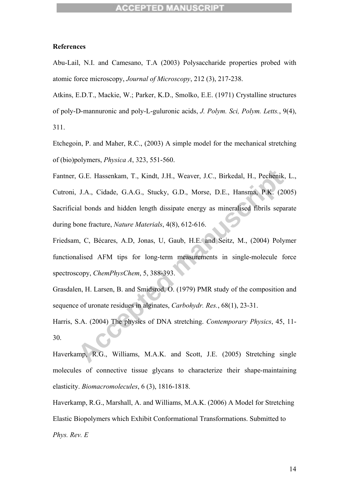#### **References**

Abu-Lail, N.I. and Camesano, T.A (2003) Polysaccharide properties probed with atomic force microscopy, *Journal of Microscopy*, 212 (3), 217-238.

Atkins, E.D.T., Mackie, W.; Parker, K.D., Smolko, E.E. (1971) Crystalline structures of poly-D-mannuronic and poly-L-guluronic acids, *J. Polym. Sci, Polym. Letts.*, 9(4), 311.

Etchegoin, P. and Maher, R.C., (2003) A simple model for the mechanical stretching of (bio)polymers, *Physica A*, 323, 551-560.

G.E. Hassenkam, T., Kindt, J.H., Weaver, J.C., Birkedal, H., Pechenik, I.<br>J.A., Cidade, G.A.G., Stucky, G.D., Morse, D.E., Hansma, P.K. (2005)<br>al bonds and hidden length dissipate energy as mineralised fibrils separat<br>one Fantner, G.E. Hassenkam, T., Kindt, J.H., Weaver, J.C., Birkedal, H., Pechenik, L., Cutroni, J.A., Cidade, G.A.G., Stucky, G.D., Morse, D.E., Hansma, P.K. (2005) Sacrificial bonds and hidden length dissipate energy as mineralised fibrils separate during bone fracture, *Nature Materials*, 4(8), 612-616.

Friedsam, C, Bécares, A.D, Jonas, U, Gaub, H.E. and Seitz, M., (2004) Polymer functionalised AFM tips for long-term measurements in single-molecule force spectroscopy, *ChemPhysChem*, 5, 388-393.

Grasdalen, H. Larsen, B. and Smidsrod, O. (1979) PMR study of the composition and sequence of uronate residues in alginates, *Carbohydr. Res.*, 68(1), 23-31.

Harris, S.A. (2004) The physics of DNA stretching. *Contemporary Physics*, 45, 11- 30.

Haverkamp, R.G., Williams, M.A.K. and Scott, J.E. (2005) Stretching single molecules of connective tissue glycans to characterize their shape-maintaining elasticity. *Biomacromolecules*, 6 (3), 1816-1818.

Haverkamp, R.G., Marshall, A. and Williams, M.A.K. (2006) A Model for Stretching Elastic Biopolymers which Exhibit Conformational Transformations. Submitted to *Phys. Rev. E*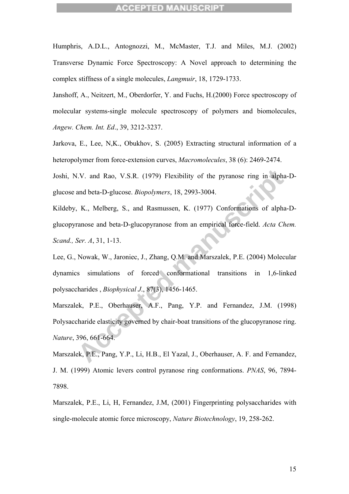Humphris, A.D.L., Antognozzi, M., McMaster, T.J. and Miles, M.J. (2002) Transverse Dynamic Force Spectroscopy: A Novel approach to determining the complex stiffness of a single molecules, *Langmuir*, 18, 1729-1733.

Janshoff, A., Neitzert, M., Oberdorfer, Y. and Fuchs, H.(2000) Force spectroscopy of molecular systems-single molecule spectroscopy of polymers and biomolecules, *Angew. Chem. Int. Ed*., 39, 3212-3237.

Jarkova, E., Lee, N,K., Obukhov, S. (2005) Extracting structural information of a heteropolymer from force-extension curves, *Macromolecules*, 38 (6): 2469-2474.

Joshi, N.V. and Rao, V.S.R. (1979) Flexibility of the pyranose ring in alpha-Dglucose and beta-D-glucose. *Biopolymers*, 18, 2993-3004.

Kildeby, K., Melberg, S., and Rasmussen, K. (1977) Conformations of alpha-Dglucopyranose and beta-D-glucopyranose from an empirical force-field. *Acta Chem. Scand., Ser. A*, 31, 1-13.

I.V. and Rao, V.S.R. (1979) Flexibility of the pyranose ring in alpha-I<br>and beta-D-glucose. *Biopolymers*, 18, 2993-3004.<br>
K., Melberg, S., and Rasmussen, K. (1977) Conformations of alpha-I<br>ranose and beta-D-glucopyranose Lee, G., Nowak, W., Jaroniec, J., Zhang, Q.M. and Marszalek, P.E. (2004) Molecular dynamics simulations of forced conformational transitions in 1,6-linked polysaccharides , *Biophysical J*., 87(3), 1456-1465.

Marszalek, P.E., Oberhauser, A.F., Pang, Y.P. and Fernandez, J.M. (1998) Polysaccharide elasticity governed by chair-boat transitions of the glucopyranose ring. *Nature*, 396, 661-664.

Marszalek, P.E., Pang, Y.P., Li, H.B., El Yazal, J., Oberhauser, A. F. and Fernandez, J. M. (1999) Atomic levers control pyranose ring conformations. *PNAS*, 96, 7894- 7898.

Marszalek, P.E., Li, H, Fernandez, J.M, (2001) Fingerprinting polysaccharides with single-molecule atomic force microscopy, *Nature Biotechnology*, 19, 258-262.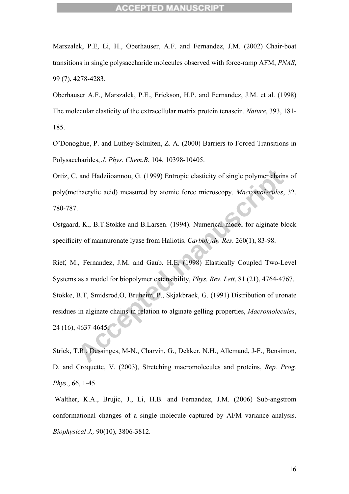Marszalek, P.E, Li, H., Oberhauser, A.F. and Fernandez, J.M. (2002) Chair-boat transitions in single polysaccharide molecules observed with force-ramp AFM, *PNAS*, 99 (7), 4278-4283.

Oberhauser A.F., Marszalek, P.E., Erickson, H.P. and Fernandez, J.M. et al. (1998) The molecular elasticity of the extracellular matrix protein tenascin. *Nature*, 393, 181- 185.

O'Donoghue, P. and Luthey-Schulten, Z. A. (2000) Barriers to Forced Transitions in Polysaccharides, *J. Phys. Chem.B*, 104, 10398-10405.

Ortiz, C. and Hadziioannou, G. (1999) Entropic elasticity of single polymer chains of poly(methacrylic acid) measured by atomic force microscopy. *Macromolecules*, 32, 780-787.

Ostgaard, K., B.T.Stokke and B.Larsen. (1994). Numerical model for alginate block specificity of mannuronate lyase from Haliotis. *Carbohydr. Res*. 260(1), 83-98.

and Hadziioannou, G. (1999) Entropic elasticity of single polymer chains at thacrylic acid) measured by atomic force microscopy. *Macromolecules*, 3.<br>
1, K., B.T.Stokke and B.Larsen. (1994). Numerical model for alginate bl Rief, M., Fernandez, J.M. and Gaub. H.E, (1998) Elastically Coupled Two-Level Systems as a model for biopolymer extensibility, *Phys. Rev. Lett*, 81 (21), 4764-4767. Stokke, B.T, Smidsrod,O, Bruheim, P., Skjakbraek, G. (1991) Distribution of uronate residues in alginate chains in relation to alginate gelling properties, *Macromolecules*, 24 (16), 4637-4645.

Strick, T.R., Dessinges, M-N., Charvin, G., Dekker, N.H., Allemand, J-F., Bensimon, D. and Croquette, V. (2003), Stretching macromolecules and proteins, *Rep. Prog. Phys*., 66, 1-45.

 Walther, K.A., Brujic, J., Li, H.B. and Fernandez, J.M. (2006) Sub-angstrom conformational changes of a single molecule captured by AFM variance analysis. *Biophysical J.,* 90(10), 3806-3812.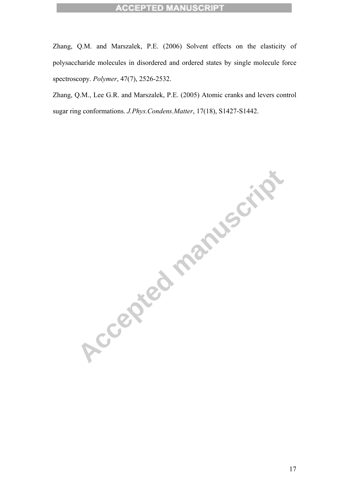Zhang, Q.M. and Marszalek, P.E. (2006) Solvent effects on the elasticity of polysaccharide molecules in disordered and ordered states by single molecule force spectroscopy. *Polymer*, 47(7), 2526-2532.

Zhang, Q.M., Lee G.R. and Marszalek, P.E. (2005) Atomic cranks and levers control sugar ring conformations. *J.Phys.Condens.Matter*, 17(18), S1427-S1442.

**Accepted manuscript**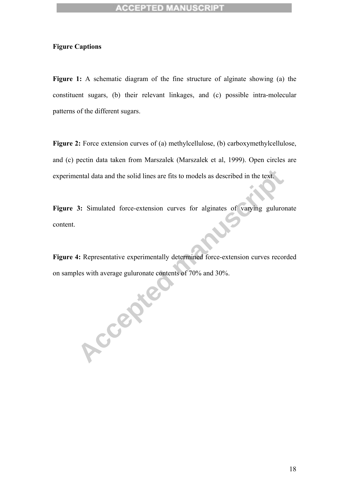#### **Figure Captions**

**Figure 1:** A schematic diagram of the fine structure of alginate showing (a) the constituent sugars, (b) their relevant linkages, and (c) possible intra-molecular patterns of the different sugars.

**Figure 2:** Force extension curves of (a) methylcellulose, (b) carboxymethylcellulose, and (c) pectin data taken from Marszalek (Marszalek et al, 1999). Open circles are experimental data and the solid lines are fits to models as described in the text.

Figure 3: Simulated force-extension curves for alginates of varying guluronate content.

**Accepted** Figure 4: Representative experimentally determined force-extension curves recorded on samples with average guluronate contents of 70% and 30%.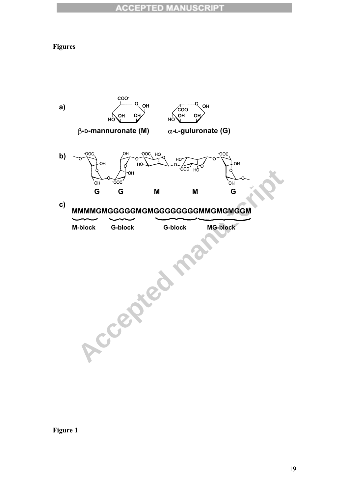## **Figures**



**Figure 1**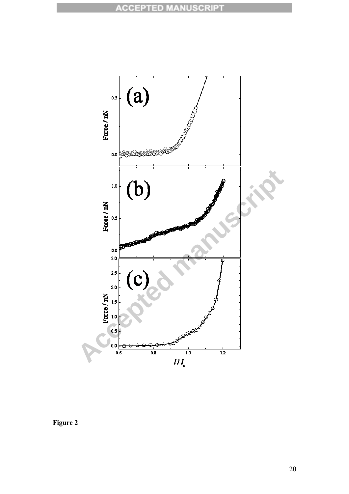

**Figure 2**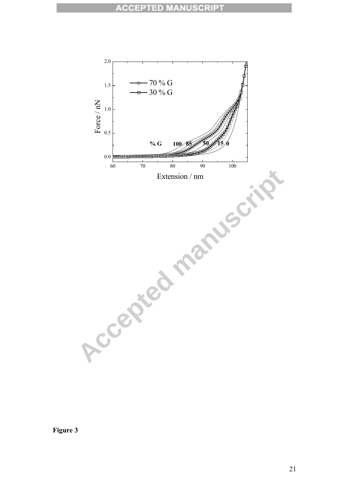

**Figure 3**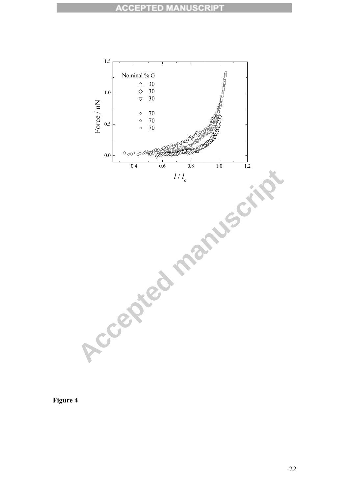

**Figure 4**